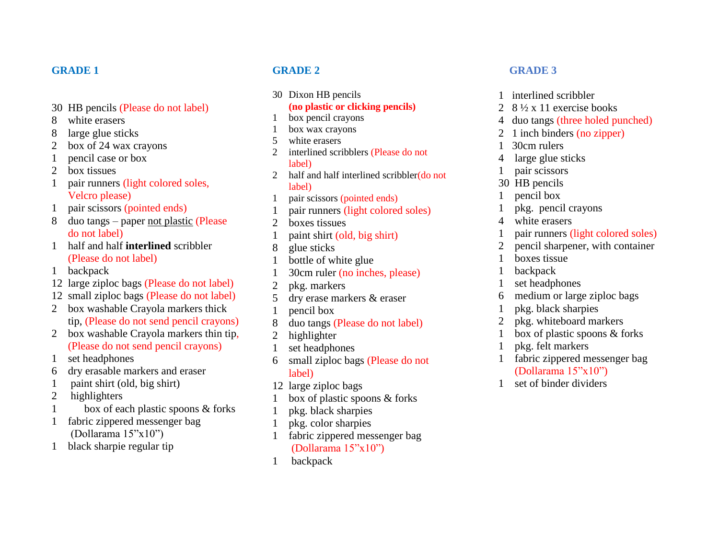### **GRADE 1**

- 30 HB pencils (Please do not label)
- 8 white erasers
- 8 large glue sticks
- 2 box of 24 wax crayons
- 1 pencil case or box
- 2 box tissues
- 1 pair runners (light colored soles, Velcro please)
- 1 pair scissors (pointed ends)
- 8 duo tangs paper not plastic (Please do not label)
- 1 half and half **interlined** scribbler (Please do not label)
- 1 backpack
- 12 large ziploc bags (Please do not label)
- 12 small ziploc bags (Please do not label)
- 2 box washable Crayola markers thick tip, (Please do not send pencil crayons)
- 2 box washable Crayola markers thin tip, (Please do not send pencil crayons)
- 1 set headphones
- 6 dry erasable markers and eraser
- 1 paint shirt (old, big shirt)
- 2 highlighters
- 1 box of each plastic spoons & forks
- 1 fabric zippered messenger bag (Dollarama 15"x10")
- 1 black sharpie regular tip

## **GRADE 2**

30 Dixon HB pencils

# **(no plastic or clicking pencils)**

- 1 box pencil crayons
- 1 box wax crayons
- 5 white erasers
- 2 interlined scribblers (Please do not label)
- 2 half and half interlined scribbler(do not label)
- 1 pair scissors (pointed ends)
- 1 pair runners (light colored soles)
- 2 boxes tissues
- 1 paint shirt (old, big shirt)
- 8 glue sticks
- 1 bottle of white glue
- 1 30cm ruler (no inches, please)
- 2 pkg. markers
- 5 dry erase markers & eraser
- 1 pencil box
- 8 duo tangs (Please do not label)
- 2 highlighter
- 1 set headphones
- 6 small ziploc bags (Please do not label)
- 12 large ziploc bags
- 1 box of plastic spoons & forks
- 1 pkg. black sharpies
- 1 pkg. color sharpies
- 1 fabric zippered messenger bag (Dollarama 15"x10")
- 1 backpack

#### **GRADE 3**

- 1 interlined scribbler
- 2  $8\frac{1}{2}$  x 11 exercise books
- 4 duo tangs (three holed punched)
- 2 1 inch binders (no zipper)
- 1 30cm rulers
- 4 large glue sticks
- 1 pair scissors
- 30 HB pencils
- 1 pencil box
- 1 pkg. pencil crayons
- 4 white erasers
- 1 pair runners (light colored soles)
- 2 pencil sharpener, with container
- 1 boxes tissue
- 1 backpack
- 1 set headphones
- 6 medium or large ziploc bags
- 1 pkg. black sharpies
- 2 pkg. whiteboard markers
- 1 box of plastic spoons & forks
- 1 pkg. felt markers
- fabric zippered messenger bag (Dollarama 15"x10")
- 1 set of binder dividers